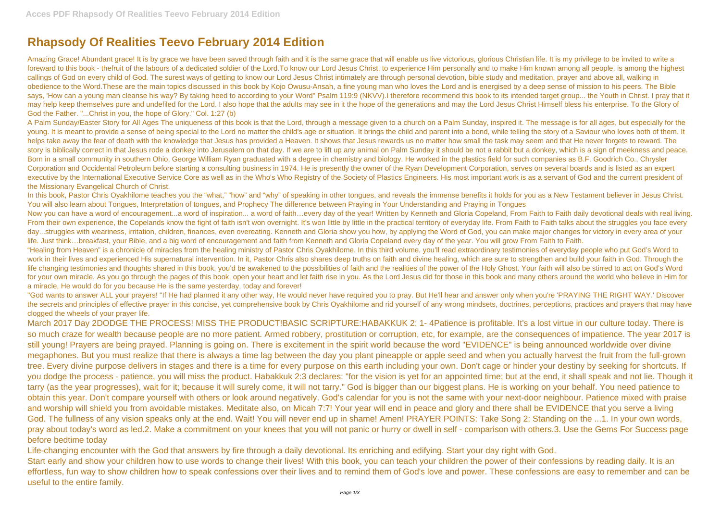## **Rhapsody Of Realities Teevo February 2014 Edition**

Amazing Grace! Abundant grace! It is by grace we have been saved through faith and it is the same grace that will enable us live victorious, glorious Christian life. It is my privilege to be invited to write a foreward to this book - thefruit of the labours of a dedicated soldier of the Lord.To know our Lord Jesus Christ, to experience Him personally and to make Him known among all people, is among the highest callings of God on every child of God. The surest ways of getting to know our Lord Jesus Christ intimately are through personal devotion, bible study and meditation, prayer and above all, walking in obedience to the Word.These are the main topics discussed in this book by Kojo Owusu-Ansah, a fine young man who loves the Lord and is energised by a deep sense of mission to his peers. The Bible says, 'How can a young man cleanse his way? By taking heed to according to your Word" Psalm 119:9 (NKVV).I therefore recommend this book to its intended target group... the Youth in Christ. I pray that it may help keep themselves pure and undefiled for the Lord. I also hope that the adults may see in it the hope of the generations and may the Lord Jesus Christ Himself bless his enterprise. To the Glory of God the Father. "...Christ in you, the hope of Glory." Col. 1:27 (b)

A Palm Sunday/Easter Story for All Ages The uniqueness of this book is that the Lord, through a message given to a church on a Palm Sunday, inspired it. The message is for all ages, but especially for the young. It is meant to provide a sense of being special to the Lord no matter the child's age or situation. It brings the child and parent into a bond, while telling the story of a Saviour who loves both of them. It helps take away the fear of death with the knowledge that Jesus has provided a Heaven. It shows that Jesus rewards us no matter how small the task may seem and that He never forgets to reward. The story is biblically correct in that Jesus rode a donkey into Jerusalem on that day. If we are to lift up any animal on Palm Sunday it should be not a rabbit but a donkey, which is a sign of meekness and peace. Born in a small community in southern Ohio, George William Ryan graduated with a degree in chemistry and biology. He worked in the plastics field for such companies as B.F. Goodrich Co., Chrysler Corporation and Occidental Petroleum before starting a consulting business in 1974. He is presently the owner of the Ryan Development Corporation, serves on several boards and is listed as an expert executive by the International Executive Service Core as well as in the Who's Who Registry of the Society of Plastics Engineers. His most important work is as a servant of God and the current president of the Missionary Evangelical Church of Christ.

"God wants to answer ALL your prayers! "If He had planned it any other way, He would never have required you to pray. But He'll hear and answer only when you're 'PRAYING THE RIGHT WAY.' Discover the secrets and principles of effective prayer in this concise, yet comprehensive book by Chris Oyakhilome and rid yourself of any wrong mindsets, doctrines, perceptions, practices and prayers that may have clogged the wheels of your prayer life.

In this book, Pastor Chris Oyakhilome teaches you the "what," "how" and "why" of speaking in other tongues, and reveals the immense benefits it holds for you as a New Testament believer in Jesus Christ. You will also learn about Tongues, Interpretation of tongues, and Prophecy The difference between Praying in Your Understanding and Praying in Tongues Now you can have a word of encouragement...a word of inspiration... a word of faith...every day of the year! Written by Kenneth and Gloria Copeland, From Faith to Faith daily devotional deals with real living. From their own experience, the Copelands know the fight of faith isn't won overnight. It's won little by little in the practical territory of everyday life. From Faith to Faith talks about the struggles you face every day...struggles with weariness, irritation, children, finances, even overeating. Kenneth and Gloria show you how, by applying the Word of God, you can make major changes for victory in every area of your life. Just think…breakfast, your Bible, and a big word of encouragement and faith from Kenneth and Gloria Copeland every day of the year. You will grow From Faith to Faith. "Healing from Heaven" is a chronicle of miracles from the healing ministry of Pastor Chris Oyakhilome. In this third volume, you'll read extraordinary testimonies of everyday people who put God's Word to work in their lives and experienced His supernatural intervention. In it, Pastor Chris also shares deep truths on faith and divine healing, which are sure to strengthen and build your faith in God. Through the life changing testimonies and thoughts shared in this book, you'd be awakened to the possibilities of faith and the realities of the power of the Holy Ghost. Your faith will also be stirred to act on God's Word for your own miracle. As you go through the pages of this book, open your heart and let faith rise in you. As the Lord Jesus did for those in this book and many others around the world who believe in Him for a miracle, He would do for you because He is the same yesterday, today and forever!

March 2017 Day 2DODGE THE PROCESS! MISS THE PRODUCT!BASIC SCRIPTURE:HABAKKUK 2: 1- 4Patience is profitable. It's a lost virtue in our culture today. There is so much craze for wealth because people are no more patient. Armed robbery, prostitution or corruption, etc, for example, are the consequences of impatience. The year 2017 is still young! Prayers are being prayed. Planning is going on. There is excitement in the spirit world because the word "EVIDENCE" is being announced worldwide over divine megaphones. But you must realize that there is always a time lag between the day you plant pineapple or apple seed and when you actually harvest the fruit from the full-grown tree. Every divine purpose delivers in stages and there is a time for every purpose on this earth including your own. Don't cage or hinder your destiny by seeking for shortcuts. If you dodge the process - patience, you will miss the product. Habakkuk 2:3 declares: "for the vision is yet for an appointed time; but at the end, it shall speak and not lie. Though it tarry (as the year progresses), wait for it; because it will surely come, it will not tarry." God is bigger than our biggest plans. He is working on your behalf. You need patience to obtain this year. Don't compare yourself with others or look around negatively. God's calendar for you is not the same with your next-door neighbour. Patience mixed with praise and worship will shield you from avoidable mistakes. Meditate also, on Micah 7:7! Your year will end in peace and glory and there shall be EVIDENCE that you serve a living God. The fullness of any vision speaks only at the end. Wait! You will never end up in shame! Amen! PRAYER POINTS: Take Song 2: Standing on the ...1. In your own words, pray about today's word as led.2. Make a commitment on your knees that you will not panic or hurry or dwell in self - comparison with others.3. Use the Gems For Success page before bedtime today

Life-changing encounter with the God that answers by fire through a daily devotional. Its enriching and edifying. Start your day right with God. Start early and show your children how to use words to change their lives! With this book, you can teach your children the power of their confessions by reading daily. It is an effortless, fun way to show children how to speak confessions over their lives and to remind them of God's love and power. These confessions are easy to remember and can be useful to the entire family.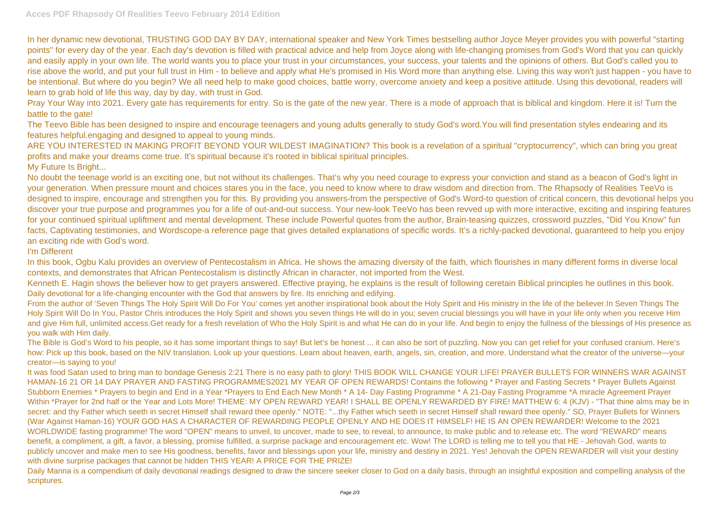In her dynamic new devotional, TRUSTING GOD DAY BY DAY, international speaker and New York Times bestselling author Joyce Meyer provides you with powerful "starting points" for every day of the year. Each day's devotion is filled with practical advice and help from Joyce along with life-changing promises from God's Word that you can quickly and easily apply in your own life. The world wants you to place your trust in your circumstances, your success, your talents and the opinions of others. But God's called you to rise above the world, and put your full trust in Him - to believe and apply what He's promised in His Word more than anything else. Living this way won't just happen - you have to be intentional. But where do you begin? We all need help to make good choices, battle worry, overcome anxiety and keep a positive attitude. Using this devotional, readers will learn to grab hold of life this way, day by day, with trust in God.

Pray Your Way into 2021. Every gate has requirements for entry. So is the gate of the new year. There is a mode of approach that is biblical and kingdom. Here it is! Turn the battle to the gate!

The Teevo Bible has been designed to inspire and encourage teenagers and young adults generally to study God's word.You will find presentation styles endearing and its features helpful.engaging and designed to appeal to young minds.

No doubt the teenage world is an exciting one, but not without its challenges. That's why you need courage to express your conviction and stand as a beacon of God's light in your generation. When pressure mount and choices stares you in the face, you need to know where to draw wisdom and direction from. The Rhapsody of Realities TeeVo is designed to inspire, encourage and strengthen you for this. By providing you answers-from the perspective of God's Word-to question of critical concern, this devotional helps you discover your true purpose and programmes you for a life of out-and-out success. Your new-look TeeVo has been revved up with more interactive, exciting and inspiring features for your continued spiritual upliftment and mental development. These include Powerful quotes from the author, Brain-teasing quizzes, crossword puzzles, "Did You Know" fun facts, Captivating testimonies, and Wordscope-a reference page that gives detailed explanations of specific words. It's a richly-packed devotional, guaranteed to help you enjoy an exciting ride with God's word.

ARE YOU INTERESTED IN MAKING PROFIT BEYOND YOUR WILDEST IMAGINATION? This book is a revelation of a spiritual "cryptocurrency", which can bring you great profits and make your dreams come true. It's spiritual because it's rooted in biblical spiritual principles. My Future Is Bright...

It was food Satan used to bring man to bondage Genesis 2:21 There is no easy path to glory! THIS BOOK WILL CHANGE YOUR LIFE! PRAYER BULLETS FOR WINNERS WAR AGAINST HAMAN-16 21 OR 14 DAY PRAYER AND FASTING PROGRAMMES2021 MY YEAR OF OPEN REWARDS! Contains the following \* Prayer and Fasting Secrets \* Prayer Bullets Against Stubborn Enemies \* Prayers to begin and End in a Year \*Prayers to End Each New Month \* A 14- Day Fasting Programme \* A 21-Day Fasting Programme \*A miracle Agreement Prayer Within \*Prayer for 2nd half or the Year and Lots More! THEME: MY OPEN REWARD YEAR! I SHALL BE OPENLY REWARDED BY FIRE! MATTHEW 6: 4 (KJV) - "That thine alms may be in secret: and thy Father which seeth in secret Himself shall reward thee openly." NOTE: "...thy Father which seeth in secret Himself shall reward thee openly." SO, Prayer Bullets for Winners (War Against Haman-16) YOUR GOD HAS A CHARACTER OF REWARDING PEOPLE OPENLY AND HE DOES IT HIMSELF! HE IS AN OPEN REWARDER! Welcome to the 2021 WORLDWIDE fasting programme! The word "OPEN" means to unveil, to uncover, made to see, to reveal, to announce, to make public and to release etc. The word "REWARD" means benefit, a compliment, a gift, a favor, a blessing, promise fulfilled, a surprise package and encouragement etc. Wow! The LORD is telling me to tell you that HE - Jehovah God, wants to publicly uncover and make men to see His goodness, benefits, favor and blessings upon your life, ministry and destiny in 2021. Yes! Jehovah the OPEN REWARDER will visit your destiny with divine surprise packages that cannot be hidden THIS YEAR! A PRICE FOR THE PRIZE!

I'm Different

In this book, Ogbu Kalu provides an overview of Pentecostalism in Africa. He shows the amazing diversity of the faith, which flourishes in many different forms in diverse local contexts, and demonstrates that African Pentecostalism is distinctly African in character, not imported from the West.

Daily Manna is a compendium of daily devotional readings designed to draw the sincere seeker closer to God on a daily basis, through an insightful exposition and compelling analysis of the scriptures.

Kenneth E. Hagin shows the believer how to get prayers answered. Effective praying, he explains is the result of following ceretain Biblical principles he outlines in this book. Daily devotional for a life-changing encounter with the God that answers by fire. Its enriching and edifying.

From the author of 'Seven Things The Holy Spirit Will Do For You' comes yet another inspirational book about the Holy Spirit and His ministry in the life of the believer.In Seven Things The Holy Spirit Will Do In You, Pastor Chris introduces the Holy Spirit and shows you seven things He will do in you; seven crucial blessings you will have in your life only when you receive Him and give Him full, unlimited access. Get ready for a fresh revelation of Who the Holy Spirit is and what He can do in your life. And begin to enjoy the fullness of the blessings of His presence as you walk with Him daily.

The Bible is God's Word to his people, so it has some important things to say! But let's be honest ... it can also be sort of puzzling. Now you can get relief for your confused cranium. Here's how: Pick up this book, based on the NIV translation. Look up your questions. Learn about heaven, earth, angels, sin, creation, and more. Understand what the creator of the universe—your creator—is saying to you!